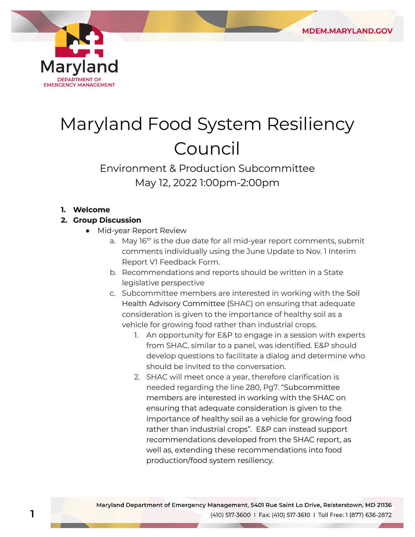

# Maryland Food System Resiliency Council

## Environment & Production Subcommittee May 12, 2022 1:00pm-2:00pm

#### **1. Welcome**

### **2. Group Discussion**

- Mid-year Report Review
	- a. May 16<sup>th</sup> is the due date for all mid-year report comments, submit comments individually using the June Update to Nov. 1 Interim Report V1 Feedback Form.
	- b. Recommendations and reports should be written in a State legislative perspective
	- c. Subcommittee members are interested in working with the Soil Health Advisory Committee (SHAC) on ensuring that adequate consideration is given to the importance of healthy soil as a vehicle for growing food rather than industrial crops.
		- 1. An opportunity for E&P to engage in a session with experts from SHAC, similar to a panel, was identified. E&P should develop questions to facilitate a dialog and determine who should be invited to the conversation.
		- 2. SHAC will meet once a year, therefore clarification is needed regarding the line 280, Pg7. "Subcommittee members are interested in working with the SHAC on ensuring that adequate consideration is given to the importance of healthy soil as a vehicle for growing food rather than industrial crops". E&P can instead support recommendations developed from the SHAC report, as well as, extending these recommendations into food production/food system resiliency.

**1**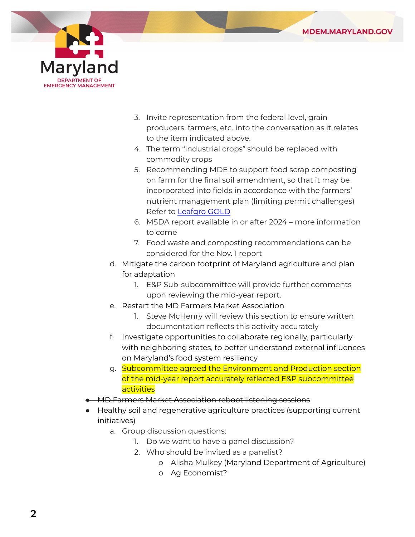



- 3. Invite representation from the federal level, grain producers, farmers, etc. into the conversation as it relates to the item indicated above.
- 4. The term "industrial crops" should be replaced with commodity crops
- 5. Recommending MDE to support food scrap composting on farm for the final soil amendment, so that it may be incorporated into fields in accordance with the farmers' nutrient management plan (limiting permit challenges) Refer to [Leafgro](https://menv.com/service/food-waste-composting/) GOLD
- 6. MSDA report available in or after 2024 more information to come
- 7. Food waste and composting recommendations can be considered for the Nov. 1 report
- d. Mitigate the carbon footprint of Maryland agriculture and plan for adaptation
	- 1. E&P Sub-subcommittee will provide further comments upon reviewing the mid-year report.
- e. Restart the MD Farmers Market Association
	- 1. Steve McHenry will review this section to ensure written documentation reflects this activity accurately
- f. Investigate opportunities to collaborate regionally, particularly with neighboring states, to better understand external influences on Maryland's food system resiliency
- g. Subcommittee agreed the Environment and Production section of the mid-year report accurately reflected E&P subcommittee **activities**
- **MD Farmers Market Association reboot listening sessions**
- Healthy soil and regenerative agriculture practices (supporting current initiatives)
	- a. Group discussion questions:
		- 1. Do we want to have a panel discussion?
		- 2. Who should be invited as a panelist?
			- o Alisha Mulkey (Maryland Department of Agriculture)
			- o Ag Economist?